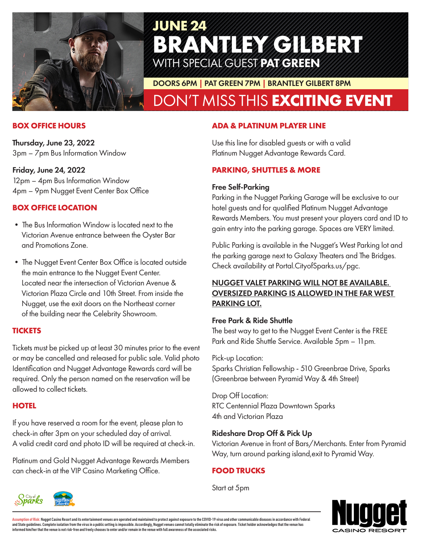

# **JUNE 24 BRANTLEY GILBERT** WITH SPECIAL GUEST PAT GREEN

DOORS 6PM | PAT GREEN 7PM | BRANTLEY GILBERT 8PM

# DON'T MISS THIS **EXCITING EVENT**

#### **BOX OFFICE HOURS**

Thursday, June 23, 2022 3pm – 7pm Bus Information Window

#### Friday, June 24, 2022

12pm – 4pm Bus Information Window 4pm – 9pm Nugget Event Center Box Office

## **BOX OFFICE LOCATION**

- The Bus Information Window is located next to the Victorian Avenue entrance between the Oyster Bar and Promotions Zone.
- The Nugget Event Center Box Office is located outside the main entrance to the Nugget Event Center. Located near the intersection of Victorian Avenue & Victorian Plaza Circle and 10th Street. From inside the Nugget, use the exit doors on the Northeast corner of the building near the Celebrity Showroom.

#### **TICKETS**

Tickets must be picked up at least 30 minutes prior to the event or may be cancelled and released for public sale. Valid photo Identification and Nugget Advantage Rewards card will be required. Only the person named on the reservation will be allowed to collect tickets.

#### **HOTEL**

If you have reserved a room for the event, please plan to check-in after 3pm on your scheduled day of arrival. A valid credit card and photo ID will be required at check-in.

Platinum and Gold Nugget Advantage Rewards Members can check-in at the VIP Casino Marketing Office.

#### **ADA & PLATINUM PLAYER LINE**

Use this line for disabled guests or with a valid Platinum Nugget Advantage Rewards Card.

#### **PARKING, SHUTTLES & MORE**

#### Free Self-Parking

Parking in the Nugget Parking Garage will be exclusive to our hotel guests and for qualified Platinum Nugget Advantage Rewards Members. You must present your players card and ID to gain entry into the parking garage. Spaces are VERY limited.

Public Parking is available in the Nugget's West Parking lot and the parking garage next to Galaxy Theaters and The Bridges. Check availability at Portal.CityofSparks.us/pgc.

## NUGGET VALET PARKING WILL NOT BE AVAILABLE. OVERSIZED PARKING IS ALLOWED IN THE FAR WEST PARKING LOT.

#### Free Park & Ride Shuttle

The best way to get to the Nugget Event Center is the FREE Park and Ride Shuttle Service. Available 5pm – 11pm.

Pick-up Location: Sparks Christian Fellowship - 510 Greenbrae Drive, Sparks

(Greenbrae between Pyramid Way & 4th Street)

Drop Off Location: RTC Centennial Plaza Downtown Sparks 4th and Victorian Plaza

#### Rideshare Drop Off & Pick Up

Victorian Avenue in front of Bars/Merchants. Enter from Pyramid Way, turn around parking island,exit to Pyramid Way.

# **FOOD TRUCKS**

Start at 5pm





<mark>Assumption of Risk:</mark> Nugget Casino Resort and its entertainment venues are operated and maintained to protect against exposure to the COVID-19 virus and other communicable diseases in accordance with Federal<br>and State gui informed him/her that the venue is not risk-free and freely chooses to enter and/or remain in the venue with full awareness of the associated risks.